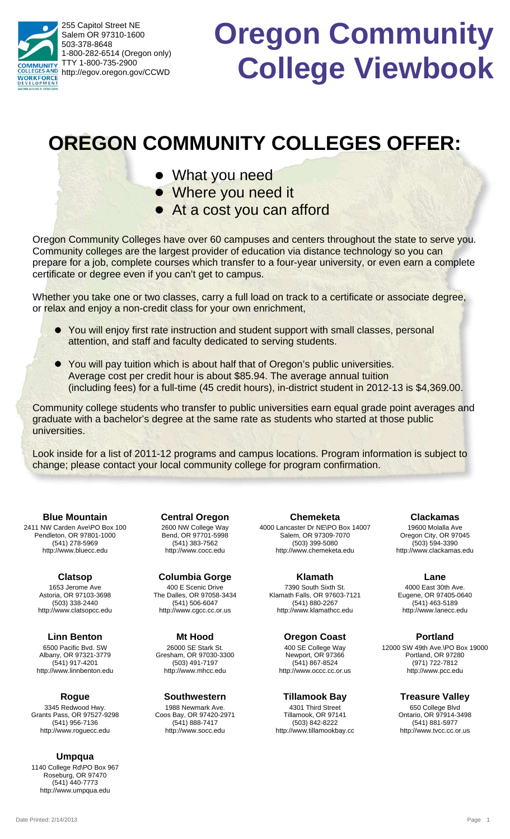255 Capitol Street NE Salem OR 97310-1600 503-378-8648 1-800-282-6514 (Oregon only) TTY 1-800-735-2900 **NUNITY** http://egov.oregon.gov/CCWD **WORKFORCE** 

# **Oregon Community College Viewbook**

## **OREGON COMMUNITY COLLEGES OFFER:**

- What you need
- Where you need it
- At a cost you can afford l

Oregon Community Colleges have over 60 campuses and centers throughout the state to serve you. Community colleges are the largest provider of education via distance technology so you can prepare for a job, complete courses which transfer to a four-year university, or even earn a complete certificate or degree even if you can't get to campus.

Whether you take one or two classes, carry a full load on track to a certificate or associate degree, or relax and enjoy a non-credit class for your own enrichment,

- You will enjoy first rate instruction and student support with small classes, personal l attention, and staff and faculty dedicated to serving students.
- You will pay tuition which is about half that of Oregon's public universities. l Average cost per credit hour is about \$85.94. The average annual tuition (including fees) for a full-time (45 credit hours), in-district student in 2012-13 is \$4,369.00.

Community college students who transfer to public universities earn equal grade point averages and graduate with a bachelor's degree at the same rate as students who started at those public universities.

Look inside for a list of 2011-12 programs and campus locations. Program information is subject to change; please contact your local community college for program confirmation.

2411 NW Carden Ave\PO Box 100 Pendleton, OR 97801-1000 (541) 278-5969 http://www.bluecc.edu **Blue Mountain**

> 1653 Jerome Ave Astoria, OR 97103-3698 (503) 338-2440 http://www.clatsopcc.edu **Clatsop**

6500 Pacific Bvd. SW Albany, OR 97321-3779 (541) 917-4201 http://www.linnbenton.edu **Linn Benton**

3345 Redwood Hwy. Grants Pass, OR 97527-9298 (541) 956-7136 http://www.roguecc.edu **Rogue**

**Umpqua**

1140 College Rd\PO Box 967 Roseburg, OR 97470 (541) 440-7773 http://www.umpqua.edu

2600 NW College Way Bend, OR 97701-5998 (541) 383-7562 http://www.cocc.edu **Central Oregon**

400 E Scenic Drive The Dalles, OR 97058-3434 (541) 506-6047 http://www.cgcc.cc.or.us **Columbia Gorge**

26000 SE Stark St. Gresham, OR 97030-3300 (503) 491-7197 http://www.mhcc.edu **Mt Hood**

1988 Newmark Ave. Coos Bay, OR 97420-2971 (541) 888-7417 http://www.socc.edu **Southwestern**

4000 Lancaster Dr NE\PO Box 14007 Salem, OR 97309-7070 (503) 399-5080 http://www.chemeketa.edu **Chemeketa**

7390 South Sixth St. Klamath Falls, OR 97603-7121 (541) 880-2267 http://www.klamathcc.edu **Klamath**

**Oregon Coast**

400 SE College Way Newport, OR 97366 (541) 867-8524 http://www.occc.cc.or.us

4301 Third Street Tillamook, OR 97141 (503) 842-8222 **Tillamook Bay**

http://www.tillamookbay.cc

19600 Molalla Ave Oregon City, OR 97045 (503) 594-3390 http://www.clackamas.edu **Clackamas**

4000 East 30th Ave. Eugene, OR 97405-0640 (541) 463-5189 http://www.lanecc.edu **Lane**

12000 SW 49th Ave.\PO Box 19000 Portland, OR 97280 (971) 722-7812 http://www.pcc.edu **Portland**

> 650 College Blvd Ontario, OR 97914-3498 (541) 881-5977 http://www.tvcc.cc.or.us **Treasure Valley**

Date Printed: 2/14/2013 Page 1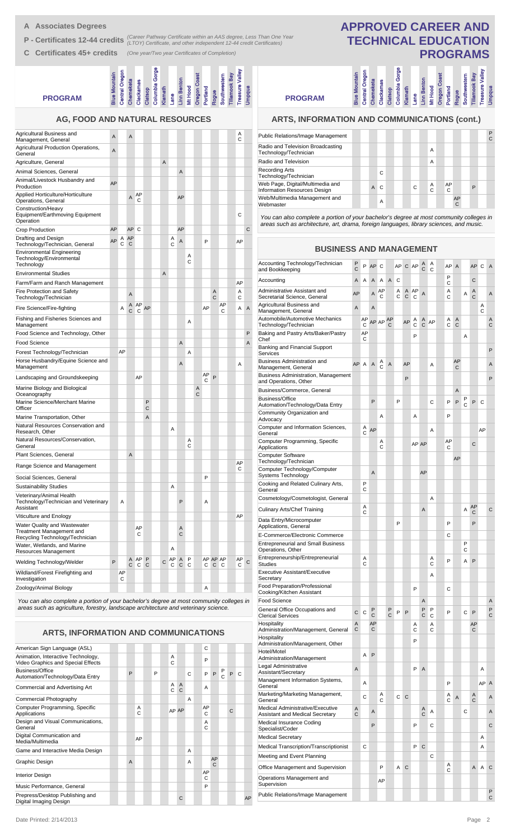- **A Associates Degrees**
- **P Certificates 12-44 credits** (Career Pathway Certificate within an AAS degree, Less Than One Year<br> **P Certificates 12-44 credits** (LTOY) Certificate, and other independent 12-44 credit Certificates)
- **C Certificates 45+ credits** *(One year/Two year Certificates of Completion)*

| <b>PROGRAM</b>                                                      | <b>Blue Mountain</b> | megon<br>Central | Chemeketa      | Clackamas | Clatsop | Gorge<br>Columbia | Klamath | ane. | Linn Benton<br>Mt Hood | past<br>Oregon | Portland | Rogue | Southwestern | <b>Tillamook Bay</b> | Valley<br>Treasure | <b>Supdus</b> |  |
|---------------------------------------------------------------------|----------------------|------------------|----------------|-----------|---------|-------------------|---------|------|------------------------|----------------|----------|-------|--------------|----------------------|--------------------|---------------|--|
| <b>AG, FOOD AND NATURAL RESOURCES</b><br><b>Itural Business and</b> | A                    |                  | $\overline{A}$ |           |         |                   |         |      |                        |                |          |       |              |                      | $\overline{A}$     |               |  |

| Agricultural Business and<br>Management, General                                            | Α  |         | A              |             |        |   |           |        |        |        |         |        |               | А<br>С  |              |
|---------------------------------------------------------------------------------------------|----|---------|----------------|-------------|--------|---|-----------|--------|--------|--------|---------|--------|---------------|---------|--------------|
| Agricultural Production Operations,<br>General                                              | A  |         |                |             |        |   |           |        |        |        |         |        |               |         |              |
| Agriculture, General                                                                        |    |         |                |             |        | A |           |        |        |        |         |        |               |         |              |
| Animal Sciences, General                                                                    |    |         |                |             |        |   |           | A      |        |        |         |        |               |         |              |
| Animal/Livestock Husbandry and<br>Production                                                | AP |         |                |             |        |   |           |        |        |        |         |        |               |         |              |
| Applied Horticulture/Horticulture<br>Operations, General                                    |    |         | A              | AP<br>С     |        |   |           | AP     |        |        |         |        |               |         |              |
| Construction/Heavy<br>Equipment/Earthmoving Equipment<br>Operation                          |    |         |                |             |        |   |           |        |        |        |         |        |               | С       |              |
| Crop Production                                                                             | AP |         | AP C           |             |        |   |           | AP     |        |        |         |        |               |         | C            |
| Drafting and Design<br>Technology/Technician, General                                       | AP | Α<br>C  | AP<br>С        |             |        |   | Α<br>C    | A      |        |        | P       |        |               | AP      |              |
| <b>Environmental Engineering</b><br>Technology/Environmental<br>Technology                  |    |         |                |             |        |   |           |        | Α<br>С |        |         |        |               |         |              |
| <b>Environmental Studies</b>                                                                |    |         |                |             |        | A |           |        |        |        |         |        |               |         |              |
| Farm/Farm and Ranch Management                                                              |    |         |                |             |        |   |           |        |        |        |         |        |               | AP      |              |
| <b>Fire Protection and Safety</b><br>Technology/Technician                                  |    |         | $\overline{A}$ |             |        |   |           |        |        |        |         | Α<br>C |               | A<br>C  |              |
| Fire Science/Fire-fighting                                                                  |    | Α       | C              | A AP<br>C   | AP     |   |           |        |        |        | AP      |        | AP<br>C       | Α       | Α            |
| Fishing and Fisheries Sciences and<br>Management                                            |    |         |                |             |        |   |           |        | Α      |        |         |        |               |         |              |
| Food Science and Technology, Other                                                          |    |         |                |             |        |   |           |        |        |        |         |        |               |         | P            |
| Food Science                                                                                |    |         |                |             |        |   |           | Α      |        |        |         |        |               |         | Α            |
| Forest Technology/Technician                                                                |    | AP      |                |             |        |   |           |        | Α      |        |         |        |               |         |              |
| Horse Husbandry/Equine Science and<br>Management                                            |    |         |                |             |        |   |           | Α      |        |        |         |        |               | Α       |              |
| Landscaping and Groundskeeping                                                              |    |         |                | AP          |        |   |           |        |        |        | AP<br>С | P      |               |         |              |
| Marine Biology and Biological<br>Oceanography                                               |    |         |                |             |        |   |           |        |        | Α<br>C |         |        |               |         |              |
| Marine Science/Merchant Marine<br>Officer                                                   |    |         |                |             | P<br>C |   |           |        |        |        |         |        |               |         |              |
| Marine Transportation, Other                                                                |    |         |                |             | A      |   |           |        |        |        |         |        |               |         |              |
| Natural Resources Conservation and<br>Research, Other                                       |    |         |                |             |        |   | A         |        |        |        |         |        |               |         |              |
| Natural Resources/Conservation,<br>General                                                  |    |         |                |             |        |   |           |        | Α<br>C |        |         |        |               |         |              |
| Plant Sciences, General                                                                     |    |         | A              |             |        |   |           |        |        |        |         |        |               |         |              |
| Range Science and Management                                                                |    |         |                |             |        |   |           |        |        |        |         |        |               | AP<br>С |              |
| Social Sciences, General                                                                    |    |         |                |             |        |   |           |        |        |        | P       |        |               |         |              |
| <b>Sustainability Studies</b>                                                               |    |         |                |             |        |   | A         |        |        |        |         |        |               |         |              |
| Veterinary/Animal Health<br>Technology/Technician and Veterinary<br>Assistant               |    | Α       |                |             |        |   |           | P      |        |        | Α       |        |               |         |              |
| Viticulture and Enology                                                                     |    |         |                |             |        |   |           |        |        |        |         |        |               | AP      |              |
| Water Quality and Wastewater<br>Treatment Management and<br>Recycling Technology/Technician |    |         |                | AP<br>С     |        |   |           | Α<br>C |        |        |         |        |               |         |              |
| Water, Wetlands, and Marine<br>Resources Management                                         |    |         |                |             |        |   | Α         |        |        |        |         |        |               |         |              |
| Welding Technology/Welder                                                                   | P  |         | C              | A AP P<br>C | C      | C | AP A<br>C | С      | P<br>C |        | С       | C      | AP AP AP<br>C | AP<br>C | $\mathsf{C}$ |
| Wildland/Forest Firefighting and<br>Investigation                                           |    | AP<br>С |                |             |        |   |           |        |        |        |         |        |               |         |              |
| Zoology/Animal Biology                                                                      |    |         |                |             |        |   |           |        |        |        | Α       |        |               |         |              |

*You can also complete a portion of your bachelor's degree at most community colleges in areas such as agriculture, forestry, landscape architecture and veterinary science.*

**ARTS, INFORMATION AND COMMUNICATIONS**

| American Sign Language (ASL)                                             |                |        |   |                   |                                |   | C       |                    |        |              |   |    |
|--------------------------------------------------------------------------|----------------|--------|---|-------------------|--------------------------------|---|---------|--------------------|--------|--------------|---|----|
| Animation, Interactive Technology,<br>Video Graphics and Special Effects |                |        |   | Α<br>$\mathsf{C}$ |                                |   | P       |                    |        |              |   |    |
| Business/Office<br>Automation/Technology/Data Entry                      | P              |        | P |                   |                                | C | P       | P                  | P<br>Ć | P            | C |    |
| Commercial and Advertising Art                                           |                |        |   | A<br>C            | $\overline{A}$<br>$\mathsf{C}$ |   | A       |                    |        |              |   |    |
| Commercial Photography                                                   |                |        |   |                   |                                | A |         |                    |        |              |   |    |
| Computer Programming, Specific<br>Applications                           |                | A<br>C |   |                   | AP AP                          |   | AP<br>C |                    |        | $\mathsf{C}$ |   |    |
| Design and Visual Communications,<br>General                             |                |        |   |                   |                                |   | A<br>C  |                    |        |              |   |    |
| Digital Communication and<br>Media/Multimedia                            |                | AP     |   |                   |                                |   |         |                    |        |              |   |    |
| Game and Interactive Media Design                                        |                |        |   |                   |                                | A |         |                    |        |              |   |    |
| Graphic Design                                                           | $\overline{A}$ |        |   |                   |                                | A |         | AP<br>$\mathsf{C}$ |        |              |   |    |
| <b>Interior Design</b>                                                   |                |        |   |                   |                                |   | AP<br>C |                    |        |              |   |    |
| Music Performance, General                                               |                |        |   |                   |                                |   | P       |                    |        |              |   |    |
| Prepress/Desktop Publishing and<br>Digital Imaging Design                |                |        |   |                   | C                              |   |         |                    |        |              |   | AP |
|                                                                          |                |        |   |                   |                                |   |         |                    |        |              |   |    |

## **APPROVED CAREER AND TECHNICAL EDUCATION PROGRAMS**

umbia Gorge

**Lane Mt Hood Portland Rogue Linn Benton**

**Oregon Coast**

**Southwestern Tillamook Bay Treasure Valley Umpqua**

amook Bay<br>asure Valley

## **PROGRAM**

## **ARTS, INFORMATION AND COMMUNICATIONS (cont.)**

**Blue Mountain Central Oregon Chemeketa Clackamas Clatsop Columbia Gorge Klamath**

**Central Oregon** 

| Public Relations/Image Management                                |  |                |    |  |   |        |         |         |   | P<br>C |
|------------------------------------------------------------------|--|----------------|----|--|---|--------|---------|---------|---|--------|
| Radio and Television Broadcasting<br>Technology/Technician       |  |                |    |  |   | A      |         |         |   |        |
| Radio and Television                                             |  |                |    |  |   | A      |         |         |   |        |
| <b>Recording Arts</b><br>Technology/Technician                   |  |                | C. |  |   |        |         |         |   |        |
| Web Page, Digital/Multimedia and<br>Information Resources Design |  | $\overline{A}$ | C  |  | C | A<br>C | AP<br>C |         | P |        |
| Web/Multimedia Management and<br>Webmaster                       |  |                | A  |  |   |        |         | AP<br>C |   |        |

*You can also complete a portion of your bachelor's degree at most community colleges in areas such as architecture, art, drama, foreign languages, library sciences, and music.*

| <b>BUSINESS AND MANAGEMENT</b>                                             |        |         |                |         |                |        |        |         |                   |        |         |                |        |         |        |                |
|----------------------------------------------------------------------------|--------|---------|----------------|---------|----------------|--------|--------|---------|-------------------|--------|---------|----------------|--------|---------|--------|----------------|
| Accounting Technology/Technician<br>and Bookkeeping                        | P<br>C | P       | AP             | C       |                | AP     | C      | AP      | A<br>C            | Α<br>Ċ | AР      | $\overline{A}$ |        | AP      | C      | A              |
| Accounting                                                                 | A      | A       | A              | A       | $\overline{A}$ | C      |        |         |                   |        | P<br>C  |                |        | C       |        |                |
| Administrative Assistant and<br>Secretarial Science, General               | AP     |         | A              | AP<br>С |                | Α<br>C | Α<br>C | AP<br>C | A                 |        | Α<br>C  |                | Α      | Α<br>C  |        | Α              |
| Agricultural Business and<br>Management, General                           | A      |         | A              |         |                |        |        |         |                   |        |         |                |        |         | Α<br>C |                |
| Automobile/Automotive Mechanics<br>Technology/Technician                   |        | AP<br>C |                | AP AP   | AP<br>C        |        | AP     | Α<br>C  | A<br>C            | AP     | Α<br>C  | Α<br>C         |        |         |        | A<br>C         |
| Baking and Pastry Arts/Baker/Pastry<br>Chef                                |        | AP<br>С |                |         |                |        |        | P       |                   |        |         |                | A      |         |        |                |
| Banking and Financial Support<br>Services                                  |        |         |                |         |                |        |        |         |                   |        |         |                |        |         |        | P              |
| <b>Business Administration and</b><br>Management, General                  | AP     | A       | $\overline{A}$ | Α<br>Ċ  | A              |        | AP     |         |                   | Α      |         | AP<br>C        |        |         |        | Α              |
| <b>Business Administration, Management</b><br>and Operations, Other        |        |         |                |         |                |        | P      |         |                   |        |         |                |        |         |        | P              |
| Business/Commerce, General                                                 |        |         |                |         |                |        |        |         |                   |        |         | A              |        |         |        |                |
| <b>Business/Office</b><br>Automation/Technology/Data Entry                 |        |         | P              |         |                | P      |        |         |                   | C      | P       | P              | Ρ<br>Ċ | P       | C      |                |
| Community Organization and<br>Advocacy                                     |        |         |                | Α       |                |        |        | Α       |                   |        | P       |                |        |         |        |                |
| Computer and Information Sciences,<br>General                              |        | A<br>C  | AP             |         |                |        |        |         |                   | A      |         |                |        |         | AP     |                |
| Computer Programming, Specific<br>Applications                             |        |         |                | Α<br>C  |                |        |        | AP AP   |                   |        | AP<br>С |                |        | Ċ       |        |                |
| <b>Computer Software</b><br>Technology/Technician                          |        |         |                |         |                |        |        |         |                   |        |         | AP             |        |         |        |                |
| Computer Technology/Computer<br>Systems Technology                         |        |         | $\overline{A}$ |         |                |        |        |         | AP                |        |         |                |        |         |        |                |
| Cooking and Related Culinary Arts,<br>General                              |        | P<br>C  |                |         |                |        |        |         |                   |        |         |                |        |         |        |                |
| Cosmetology/Cosmetologist, General                                         |        |         |                |         |                |        |        |         |                   | A      |         |                |        |         |        |                |
| Culinary Arts/Chef Training                                                |        | A<br>С  |                |         |                |        |        |         | $\overline{A}$    |        |         |                | A      | AP<br>С |        | $\mathsf{C}$   |
| Data Entry/Microcomputer<br>Applications, General                          |        |         |                |         |                | P      |        |         |                   |        | P       |                |        | P       |        |                |
| E-Commerce/Electronic Commerce                                             |        |         |                |         |                |        |        |         |                   |        | С       |                |        |         |        |                |
| <b>Entrepreneurial and Small Business</b>                                  |        |         |                |         |                |        |        |         |                   |        |         |                | P<br>C |         |        |                |
| Operations, Other<br>Entrepreneurship/Entrepreneurial<br><b>Studies</b>    |        | A<br>C  |                |         |                |        |        |         |                   | Α<br>C | P       |                | А      | P       |        |                |
| <b>Executive Assistant/Executive</b><br>Secretary                          |        |         |                |         |                |        |        |         |                   | A      |         |                |        |         |        |                |
| Food Preparation/Professional<br>Cooking/Kitchen Assistant                 |        |         |                |         |                |        |        | P       |                   |        | C       |                |        |         |        |                |
| <b>Food Science</b>                                                        |        |         |                |         |                |        |        |         | Α                 |        |         |                |        |         |        | A              |
| General Office Occupations and<br><b>Clerical Services</b>                 | C      | С       | P<br>C         |         | P<br>C         | P      | P      |         | P<br>C            | P<br>C | P       |                | С      | P       |        | P<br>C         |
| Hospitality<br>Administration/Management, General                          | Α<br>C |         | AP<br>С        |         |                |        |        | Α<br>C  |                   | Α<br>C |         |                |        | AP<br>С |        |                |
| Hospitality<br>Administration/Management, Other                            |        |         |                |         |                |        |        | P       |                   |        |         |                |        |         |        |                |
| Hotel/Motel<br>Administration/Management                                   |        | Α       | P              |         |                |        |        |         |                   |        |         |                |        |         |        |                |
| Legal Administrative<br>Assistant/Secretary                                | A      |         |                |         |                |        |        | P       | A                 |        |         |                |        |         | Α      |                |
| Management Information Systems,<br>General                                 |        | Α       |                |         |                |        |        |         |                   |        | P       |                |        |         | AP     | $\overline{A}$ |
| Marketing/Marketing Management,<br>General                                 |        | С       |                | Α<br>C  |                | С      | C      |         |                   |        | Α<br>C  | A              |        | Α<br>C  |        | Α              |
| Medical Administrative/Executive<br><b>Assistant and Medical Secretary</b> | Α<br>C |         | $\overline{A}$ |         |                |        |        |         | Α<br>$\mathsf{C}$ | A      |         |                | С      |         |        | Α              |
| Medical Insurance Coding<br>Specialist/Coder                               |        |         | P              |         |                |        |        | P       |                   | C      |         |                |        |         |        | C              |
| <b>Medical Secretary</b>                                                   |        |         |                |         |                |        |        |         |                   |        |         |                |        |         | Α      |                |
| Medical Transcription/Transcriptionist                                     |        | C       |                |         |                |        |        | P       | C                 |        |         |                |        |         | A      |                |
| Meeting and Event Planning                                                 |        |         |                |         |                |        |        |         |                   | С      | Α       |                |        |         |        |                |
| Office Management and Supervision<br>Operations Management and             |        |         |                | P       |                | A      | C      |         |                   |        | C       |                |        | Α       | A      | C              |
| Supervision                                                                |        |         |                | AP      |                |        |        |         |                   |        |         |                |        |         |        | P              |
| Public Relations/Image Management                                          |        |         |                |         |                |        |        |         |                   |        |         |                |        |         |        | C              |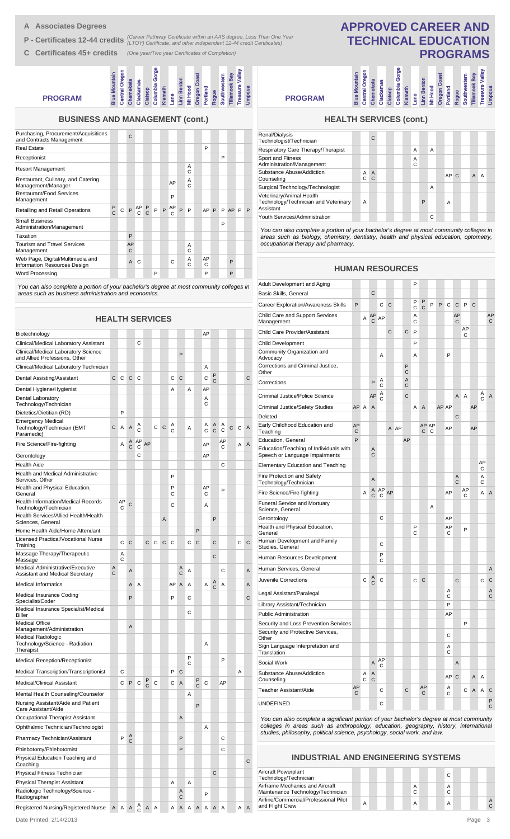- **A Associates Degrees**
- **P Certificates 12-44 credits** (Career Pathway Certificate within an AAS degree, Less Than One Year<br> **P Certificates 12-44 credits** (LTOY) Certificate, and other independent 12-44 credit Certificates)
- **C Certificates 45+ credits** *(One year/Two year Certificates of Completion)*

### Columbia Gorge **Pasure Valley<br>Propria Columbia Gorge Treasure Valley Intral Oregon Central Oregon Blue Mountain** Mountain **Oregon Coast Tillamook Bay Southwestern Linn Benton Chemeketa Clackamas Klamath Lane Mt Hood Portland Rogue Clatsop PROGRAM**

### **BUSINESS AND MANAGEMENT (cont.)**

| Purchasing, Procurement/Acquisitions<br>and Contracts Management |                    |   | $\mathsf{C}$ |          |               |   |              |    |              |               |         |   |           |   |   |
|------------------------------------------------------------------|--------------------|---|--------------|----------|---------------|---|--------------|----|--------------|---------------|---------|---|-----------|---|---|
| <b>Real Estate</b>                                               |                    |   |              |          |               |   |              |    |              |               | P       |   |           |   |   |
| Receptionist                                                     |                    |   |              |          |               |   |              |    |              |               |         | P |           |   |   |
| <b>Resort Management</b>                                         |                    |   |              |          |               |   |              |    |              | A<br>C        |         |   |           |   |   |
| Restaurant, Culinary, and Catering<br>Management/Manager         |                    |   |              |          |               |   |              | AP |              | A<br>$\Omega$ |         |   |           |   |   |
| Restaurant/Food Services<br>Management                           |                    |   |              |          |               |   |              | P  |              |               |         |   |           |   |   |
| <b>Retailing and Retail Operations</b>                           | $_{\rm C}^{\rm P}$ | C |              | $P \n C$ | $\frac{P}{C}$ | P | $\mathsf{P}$ | AP | $\mathsf{P}$ | P             | AP P    | P | <b>AP</b> | P | P |
| <b>Small Business</b><br>Administration/Management               |                    |   |              |          |               |   |              |    |              |               |         | P |           |   |   |
| Taxation                                                         |                    |   | P            |          |               |   |              |    |              |               |         |   |           |   |   |
| <b>Tourism and Travel Services</b><br>Management                 |                    |   | AP<br>C      |          |               |   |              |    |              | A<br>C        |         |   |           |   |   |
| Web Page, Digital/Multimedia and<br>Information Resources Design |                    |   | $\mathsf{A}$ | C        |               |   |              | C  |              | A<br>C        | AP<br>C |   | P         |   |   |
| Word Processing                                                  |                    |   |              |          |               | P |              |    |              |               | P       |   | P         |   |   |

*You can also complete a portion of your bachelor's degree at most community colleges in areas such as business administration and economics.*

| <b>HEALTH SERVICES</b>                                                     |        |         |        |         |    |                |   |        |        |        |        |         |                   |         |              |   |   |
|----------------------------------------------------------------------------|--------|---------|--------|---------|----|----------------|---|--------|--------|--------|--------|---------|-------------------|---------|--------------|---|---|
| Biotechnology                                                              |        |         |        |         |    |                |   |        |        |        |        | AP      |                   |         |              |   |   |
| Clinical/Medical Laboratory Assistant                                      |        |         |        | C       |    |                |   |        |        |        |        |         |                   |         |              |   |   |
| Clinical/Medical Laboratory Science<br>and Allied Professions, Other       |        |         |        |         |    |                |   |        | P      |        |        |         |                   |         |              |   |   |
| Clinical/Medical Laboratory Technician                                     |        |         |        |         |    |                |   |        |        |        |        | Α       |                   |         |              |   |   |
| Dental Assisting/Assistant                                                 | С      | C       | C      | C       |    |                |   | С      | C      |        |        | C       | P<br>C            |         |              |   | С |
| Dental Hygiene/Hygienist                                                   |        |         |        |         |    |                |   | A      |        | A      |        | AP      |                   |         |              |   |   |
| Dental Laboratory<br>Technology/Technician                                 |        |         |        |         |    |                |   |        |        |        |        | Α<br>С  |                   |         |              |   |   |
| Dietetics/Dietitian (RD)                                                   |        | P       |        |         |    |                |   |        |        |        |        |         |                   |         |              |   |   |
| <b>Emergency Medical</b><br>Technology/Technician (EMT<br>Paramedic)       | C      | Α       | A      | Α<br>C  |    | С              | C | Α<br>C |        | Α      |        | Α<br>C  | Α<br>$\mathsf{C}$ | Α<br>С  | $\mathsf{C}$ | C | Α |
| Fire Science/Fire-fighting                                                 |        | Α       | A<br>C | AP<br>C | AP |                |   |        |        |        |        | AP      |                   | AP<br>С |              | A | A |
| Gerontology                                                                |        |         |        | С       |    |                |   |        |        |        |        | AP      |                   |         |              |   |   |
| <b>Health Aide</b>                                                         |        |         |        |         |    |                |   |        |        |        |        |         |                   | C       |              |   |   |
| <b>Health and Medical Administrative</b><br>Services, Other                |        |         |        |         |    |                |   | P      |        |        |        |         |                   |         |              |   |   |
| Health and Physical Education,<br>General                                  |        |         |        |         |    |                |   | P<br>С |        |        |        | AP<br>С |                   | P       |              |   |   |
| <b>Health Information/Medical Records</b><br>Technology/Technician         |        | AP<br>С | C      |         |    |                |   | C      |        |        |        | Α       |                   |         |              |   |   |
| Health Services/Allied Health/Health<br>Sciences, General                  |        |         |        |         |    |                | A |        |        |        |        |         | P                 |         |              |   |   |
| Home Health Aide/Home Attendant                                            |        |         |        |         |    |                |   |        |        |        | P      |         |                   |         |              |   |   |
| Licensed Practical/Vocational Nurse<br>Training                            |        | C       | C      |         | C  | C              | C | C      |        | C      | C      |         | C                 |         |              | С | C |
| Massage Therapy/Therapeutic<br>Massage                                     |        | A<br>C  |        |         |    |                |   |        |        |        |        |         | C                 |         |              |   |   |
| Medical Administrative/Executive<br><b>Assistant and Medical Secretary</b> | Α<br>C |         | A      |         |    |                |   |        | Α<br>C | Α      |        |         |                   | C       |              |   | A |
| <b>Medical Informatics</b>                                                 |        |         | A      | A       |    |                |   | AP     | Α      | A      |        | A       | A<br>C            | A       |              |   | A |
| Medical Insurance Coding<br>Specialist/Coder                               |        |         | P      |         |    |                |   | P      |        | С      |        |         |                   |         |              |   | С |
| Medical Insurance Specialist/Medical<br>Biller                             |        |         |        |         |    |                |   |        |        | C      |        |         |                   |         |              |   |   |
| <b>Medical Office</b><br>Management/Administration                         |        |         | A      |         |    |                |   |        |        |        |        |         |                   |         |              |   |   |
| Medical Radiologic<br>Technology/Science - Radiation<br>Therapist          |        |         |        |         |    |                |   |        |        |        |        | Α       |                   |         |              |   |   |
| Medical Reception/Receptionist                                             |        |         |        |         |    |                |   |        |        | P<br>C |        |         |                   | P       |              |   |   |
| Medical Transcription/Transcriptionist                                     |        | C       |        |         |    |                |   | P      | С      |        |        |         |                   |         |              | A |   |
| Medical/Clinical Assistant                                                 |        | C       | P      | С       | P  | $\mathbf C$    |   | С      | A      |        | P<br>Ü | С       |                   | AP      |              |   |   |
| Mental Health Counseling/Counselor                                         |        |         |        |         |    |                |   |        |        | Α      |        |         |                   |         |              |   |   |
| Nursing Assistant/Aide and Patient<br>Care Assistant/Aide                  |        |         |        |         |    |                |   |        |        |        | P      |         |                   |         |              |   |   |
| Occupational Therapist Assistant                                           |        |         |        |         |    |                |   |        | Α      |        |        |         |                   |         |              |   |   |
| Ophthalmic Technician/Technologist                                         |        |         |        |         |    |                |   |        |        |        |        | Α       |                   |         |              |   |   |
| Pharmacy Technician/Assistant                                              |        | P       | A<br>C |         |    |                |   |        | P      |        |        |         |                   | С       |              |   |   |
| Phlebotomy/Phlebotomist                                                    |        |         |        |         |    |                |   |        | P      |        |        |         |                   | С       |              |   |   |
| Physical Education Teaching and<br>Coaching                                |        |         |        |         |    |                |   |        |        |        |        |         |                   |         |              |   | С |
| Physical Fitness Technician                                                |        |         |        |         |    |                |   |        |        |        |        |         | C                 |         |              |   |   |
| Physical Therapist Assistant                                               |        |         |        |         |    |                |   | Α      |        | Α      |        |         |                   |         |              |   |   |
| Radiologic Technology/Science -<br>Radiographer                            |        |         |        |         |    |                |   |        | Α<br>C |        |        | P       |                   |         |              |   |   |
| Registered Nursing/Registered Nurse                                        | A      |         | A A    | A<br>C  | A  | $\overline{A}$ |   | A      | A      | Α      | A      | Α       | A                 | A       |              | A | A |

**PROGRAM**

### **PROGRAMS** umbia Gorge **Columbia Gorge Intral Oregon Treasure Valley Central Oregon Blue Mountain Oregon Coast Tillamook Bay Southwestern Linn Benton Chemeketa Clackamas Klamath Lane Mt Hood Portland Rogue Umpqua Clatsop**

**APPROVED CAREER AND TECHNICAL EDUCATION**

## **HEALTH SERVICES (cont.)**

| Renal/Dialysis<br>Technologist/Technician                                     |        | C                   |  |        |   |   |                |  |                |   |  |
|-------------------------------------------------------------------------------|--------|---------------------|--|--------|---|---|----------------|--|----------------|---|--|
| Respiratory Care Therapy/Therapist                                            |        |                     |  | A      |   | A |                |  |                |   |  |
| Sport and Fitness<br>Administration/Management                                |        |                     |  | A<br>C |   |   |                |  |                |   |  |
| Substance Abuse/Addiction<br>Counseling                                       | A<br>C | $\overline{A}$<br>C |  |        |   |   | AP C           |  | $\overline{A}$ | A |  |
| Surgical Technology/Technologist                                              |        |                     |  |        |   | A |                |  |                |   |  |
| Veterinary/Animal Health<br>Technology/Technician and Veterinary<br>Assistant | A      |                     |  |        | P |   | $\overline{A}$ |  |                |   |  |
| Youth Services/Administration                                                 |        |                     |  |        |   | С |                |  |                |   |  |
|                                                                               |        |                     |  |        |   |   |                |  |                |   |  |

*You can also complete a portion of your bachelor's degree at most community colleges in areas such as biology, chemistry, dentistry, health and physical education, optometry, occupational therapy and pharmacy.*

### **HUMAN RESOURCES**

| Adult Development and Aging                                              |         |        |                     |                   |    |      |        | P      |                |            |   |         |         |         |    |         |                |
|--------------------------------------------------------------------------|---------|--------|---------------------|-------------------|----|------|--------|--------|----------------|------------|---|---------|---------|---------|----|---------|----------------|
| Basic Skills, General                                                    |         |        | C                   |                   |    |      |        |        |                |            |   |         |         |         |    |         |                |
| <b>Career Exploration/Awareness Skills</b>                               | P       |        |                     | C                 | C  |      |        | P<br>C | P<br>C         | P          | P | C       | C       | P       | C  |         |                |
| Child Care and Support Services<br>Management                            |         | A      | AP<br>C             | AP                |    |      |        | A<br>C |                |            |   |         | AP<br>C |         |    |         | AP<br>C        |
| Child Care Provider/Assistant                                            |         |        |                     |                   | C  |      | C      | P      |                |            |   |         |         | AP<br>C |    |         |                |
| <b>Child Development</b>                                                 |         |        |                     |                   |    |      |        | P      |                |            |   |         |         |         |    |         |                |
| Community Organization and<br>Advocacy                                   |         |        |                     | Α                 |    |      |        | A      |                |            |   | P       |         |         |    |         |                |
| Corrections and Criminal Justice,<br>Other                               |         |        |                     |                   |    |      | P<br>C |        |                |            |   |         |         |         |    |         |                |
| Corrections                                                              |         |        | P                   | Α<br>C            |    |      | A<br>C |        |                |            |   |         |         |         |    |         |                |
| Criminal Justice/Police Science                                          |         |        | AP                  | Α<br>$\mathsf{C}$ |    |      | C      |        |                |            |   |         | A       | A       |    | Α<br>C  | A              |
| <b>Criminal Justice/Safety Studies</b>                                   | AP      | A      | $\overline{A}$      |                   |    |      |        | Α      | $\overline{A}$ |            |   | AP AP   |         |         | AP |         |                |
| Deleted                                                                  |         |        |                     |                   |    |      |        |        |                |            |   |         | C       |         |    |         |                |
| Early Childhood Education and<br>Teaching                                | AP<br>C |        |                     |                   |    | A AP |        |        | C              | AP AP<br>C |   | AP      |         |         | AP |         |                |
| Education, General                                                       | P       |        |                     |                   |    |      | AP     |        |                |            |   |         |         |         |    |         |                |
| Education/Teaching of Individuals with<br>Speech or Language Impairments |         |        | Α<br>C              |                   |    |      |        |        |                |            |   |         |         |         |    |         |                |
| <b>Elementary Education and Teaching</b>                                 |         |        |                     |                   |    |      |        |        |                |            |   |         |         |         |    | AP<br>С |                |
| Fire Protection and Safety<br>Technology/Technician                      |         |        | A                   |                   |    |      |        |        |                |            |   |         | A<br>C  |         |    | Α<br>C  |                |
| Fire Science/Fire-fighting                                               |         | A      | A<br>Ċ              | AP<br>C           | AP |      |        |        |                |            |   | AP      |         | AP<br>C |    | A       | $\overline{A}$ |
| <b>Funeral Service and Mortuary</b><br>Science, General                  |         |        |                     |                   |    |      |        |        |                | A          |   |         |         |         |    |         |                |
| Gerontology                                                              |         |        |                     | С                 |    |      |        |        |                |            |   | AP      |         |         |    |         |                |
| Health and Physical Education,<br>General                                |         |        |                     |                   |    |      |        | P<br>C |                |            |   | AP<br>C |         | P       |    |         |                |
| Human Development and Family<br>Studies, General                         |         |        |                     | С                 |    |      |        |        |                |            |   |         |         |         |    |         |                |
| Human Resources Development                                              |         |        |                     | P<br>C            |    |      |        |        |                |            |   |         |         |         |    |         |                |
| Human Services, General                                                  |         |        |                     |                   |    |      |        |        |                |            |   |         |         |         |    |         | A              |
| Juvenile Corrections                                                     |         | Ċ      | A<br>C              | C                 |    |      |        | C      | C              |            |   |         | C       |         |    | C       | C              |
| Legal Assistant/Paralegal                                                |         |        |                     |                   |    |      |        |        |                |            |   | Α<br>C  |         |         |    |         | A<br>C         |
| Library Assistant/Technician                                             |         |        |                     |                   |    |      |        |        |                |            |   | P       |         |         |    |         |                |
| <b>Public Administration</b>                                             |         |        |                     |                   |    |      |        |        |                |            |   | AP      |         |         |    |         |                |
| Security and Loss Prevention Services                                    |         |        |                     |                   |    |      |        |        |                |            |   |         |         | P       |    |         |                |
| Security and Protective Services,<br>Other                               |         |        |                     |                   |    |      |        |        |                |            |   | С       |         |         |    |         |                |
| Sign Language Interpretation and<br>Translation                          |         |        |                     |                   |    |      |        |        |                |            |   | Α<br>C  |         |         |    |         |                |
| Social Work                                                              |         |        | Α                   | AP<br>С           |    |      |        |        |                |            |   |         | A       |         |    |         |                |
| Substance Abuse/Addiction<br>Counseling                                  |         | Α<br>Ċ | A<br>$\overline{C}$ |                   |    |      |        |        |                |            |   | AP      | C       |         | A  | A       |                |
| Teacher Assistant/Aide                                                   | AP<br>С |        |                     | С                 |    |      | C      |        | AP<br>С        |            |   | А<br>C  |         | С       | A  | Α       | C              |
| <b>UNDEFINED</b>                                                         |         |        |                     | C                 |    |      |        |        |                |            |   |         |         |         |    |         | P<br>C         |

*You can also complete a significant portion of your bachelor's degree at most community colleges in areas such as anthropology, education, geography, history, international studies, philosophy, political science, psychology, social work, and law.*

### **INDUSTRIAL AND ENGINEERING SYSTEMS**

| Aircraft Powerplant<br>Technology/Technician                         |  |  |  |   | C      |  |  |  |
|----------------------------------------------------------------------|--|--|--|---|--------|--|--|--|
| Airframe Mechanics and Aircraft<br>Maintenance Technology/Technician |  |  |  | C | A<br>C |  |  |  |
| Airline/Commercial/Professional Pilot<br>and Flight Crew             |  |  |  |   | A      |  |  |  |

Date Printed: 2/14/2013 Page 3